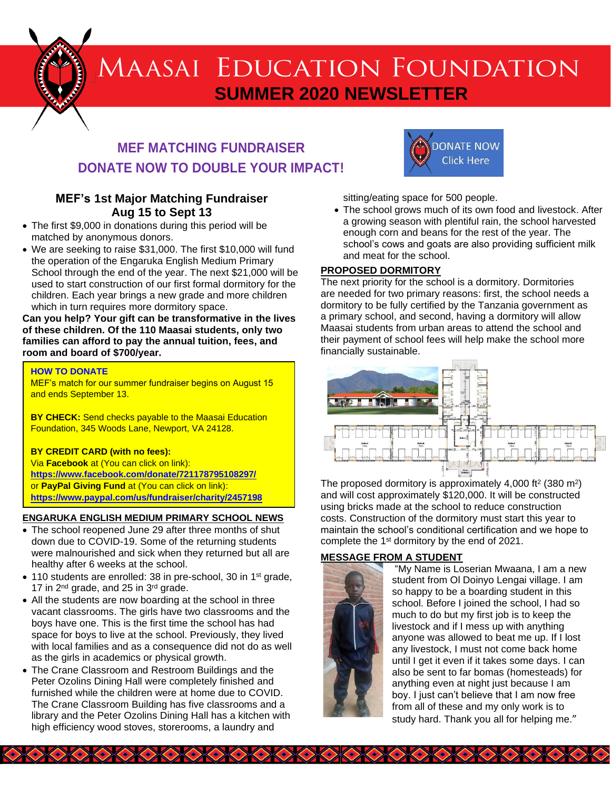

# **MEF MATCHING FUNDRAISER DONATE NOW TO DOUBLE YOUR IMPACT!**

# **MEF's 1st Major Matching Fundraiser Aug 15 to Sept 13**

- The first \$9,000 in donations during this period will be matched by anonymous donors.
- We are seeking to raise \$31,000. The first \$10,000 will fund the operation of the Engaruka English Medium Primary School through the end of the year. The next \$21,000 will be used to start construction of our first formal dormitory for the children. Each year brings a new grade and more children which in turn requires more dormitory space.

**Can you help? Your gift can be transformative in the lives of these children. Of the 110 Maasai students, only two families can afford to pay the annual tuition, fees, and room and board of \$700/year.**

#### **HOW TO DONATE**

MEF's match for our summer fundraiser begins on August 15 and ends September 13.

**BY CHECK:** Send checks payable to the Maasai Education Foundation, 345 Woods Lane, Newport, VA 24128.

#### **BY CREDIT CARD (with no fees):**

Via **Facebook** at (You can click on link): **<https://www.facebook.com/donate/721178795108297/>** or **PayPal Giving Fund** at (You can click on link): **<https://www.paypal.com/us/fundraiser/charity/2457198>**

#### **ENGARUKA ENGLISH MEDIUM PRIMARY SCHOOL NEWS**

- The school reopened June 29 after three months of shut down due to COVID-19. Some of the returning students were malnourished and sick when they returned but all are healthy after 6 weeks at the school.
- 110 students are enrolled: 38 in pre-school, 30 in 1<sup>st</sup> grade, 17 in 2<sup>nd</sup> grade, and 25 in 3<sup>rd</sup> grade.
- All the students are now boarding at the school in three vacant classrooms. The girls have two classrooms and the boys have one. This is the first time the school has had space for boys to live at the school. Previously, they lived with local families and as a consequence did not do as well as the girls in academics or physical growth.
- The Crane Classroom and Restroom Buildings and the Peter Ozolins Dining Hall were completely finished and furnished while the children were at home due to COVID. The Crane Classroom Building has five classrooms and a library and the Peter Ozolins Dining Hall has a kitchen with high efficiency wood stoves, storerooms, a laundry and

**BARKA ARA ARA** 



sitting/eating space for 500 people.

• The school grows much of its own food and livestock. After a growing season with plentiful rain, the school harvested enough corn and beans for the rest of the year. The school's cows and goats are also providing sufficient milk and meat for the school.

#### **PROPOSED DORMITORY**

The next priority for the school is a dormitory. Dormitories are needed for two primary reasons: first, the school needs a dormitory to be fully certified by the Tanzania government as a primary school, and second, having a dormitory will allow Maasai students from urban areas to attend the school and their payment of school fees will help make the school more financially sustainable.



The proposed dormitory is approximately  $4,000$  ft<sup>2</sup> (380 m<sup>2</sup>) and will cost approximately \$120,000. It will be constructed using bricks made at the school to reduce construction costs. Construction of the dormitory must start this year to maintain the school's conditional certification and we hope to complete the 1<sup>st</sup> dormitory by the end of 2021.

## **MESSAGE FROM A STUDENT**

**ARACK ARACK ARACK** 



"My Name is Loserian Mwaana, I am a new student from Ol Doinyo Lengai village. I am so happy to be a boarding student in this school. Before I joined the school, I had so much to do but my first job is to keep the livestock and if I mess up with anything anyone was allowed to beat me up. If I lost any livestock, I must not come back home until I get it even if it takes some days. I can also be sent to far bomas (homesteads) for anything even at night just because I am boy. I just can't believe that I am now free from all of these and my only work is to study hard. Thank you all for helping me."